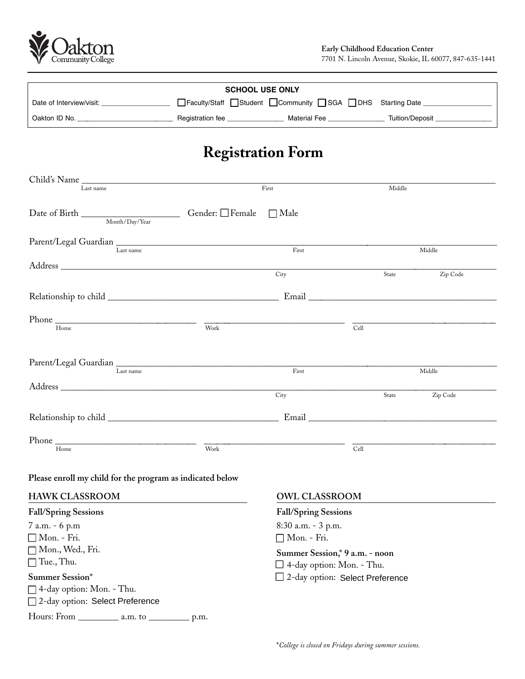

| <b>SCHOOL USE ONLY</b>   |                  |                                                            |                 |  |  |  |
|--------------------------|------------------|------------------------------------------------------------|-----------------|--|--|--|
| Date of Interview/visit: |                  | □Faculty/Staff □Student □Community □SGA □DHS Starting Date |                 |  |  |  |
| Oakton ID No.            | Registration fee | <b>Material Fee</b>                                        | Tuition/Deposit |  |  |  |

## **Registration Form**

| Last name                                                                                                                                                                                                                                                                                                                                                                                                                                                                                               | First |                                                                    | Middle                            |          |
|---------------------------------------------------------------------------------------------------------------------------------------------------------------------------------------------------------------------------------------------------------------------------------------------------------------------------------------------------------------------------------------------------------------------------------------------------------------------------------------------------------|-------|--------------------------------------------------------------------|-----------------------------------|----------|
| $\begin{tabular}{l} Date of Birth \hspace{0.1cm} \hspace{0.1cm} \textbf{L} \end{tabular} \begin{tabular}{l} \textbf{D} \end{tabular} \begin{tabular}{l} \textbf{D} \end{tabular} \begin{tabular}{l} \textbf{D} \end{tabular} \begin{tabular}{l} \textbf{D} \end{tabular} \begin{tabular}{l} \textbf{D} \end{tabular} \end{tabular} \begin{tabular}{l} \textbf{D} \end{tabular} \begin{tabular}{l} \textbf{D} \end{tabular} \begin{tabular}{l} \textbf{D} \end{tabular} \end{tabular} \begin{tabular}{l$ |       | $\Box$ Male                                                        |                                   |          |
| Parent/Legal Guardian Last name                                                                                                                                                                                                                                                                                                                                                                                                                                                                         |       | First                                                              |                                   | Middle   |
|                                                                                                                                                                                                                                                                                                                                                                                                                                                                                                         |       | City                                                               | State                             | Zip Code |
|                                                                                                                                                                                                                                                                                                                                                                                                                                                                                                         |       |                                                                    |                                   |          |
| $\frac{1}{\text{Home}}$ $\frac{1}{\text{Work}}$                                                                                                                                                                                                                                                                                                                                                                                                                                                         |       |                                                                    | Cell                              |          |
| Last name                                                                                                                                                                                                                                                                                                                                                                                                                                                                                               |       | First                                                              |                                   | Middle   |
|                                                                                                                                                                                                                                                                                                                                                                                                                                                                                                         |       | City                                                               | State                             | Zip Code |
|                                                                                                                                                                                                                                                                                                                                                                                                                                                                                                         |       |                                                                    |                                   |          |
| Home                                                                                                                                                                                                                                                                                                                                                                                                                                                                                                    | Work  |                                                                    | Cell                              |          |
| Please enroll my child for the program as indicated below                                                                                                                                                                                                                                                                                                                                                                                                                                               |       |                                                                    |                                   |          |
| <b>HAWK CLASSROOM</b>                                                                                                                                                                                                                                                                                                                                                                                                                                                                                   |       | <b>OWL CLASSROOM</b>                                               |                                   |          |
| <b>Fall/Spring Sessions</b>                                                                                                                                                                                                                                                                                                                                                                                                                                                                             |       | Fall/Spring Sessions                                               |                                   |          |
| 7 a.m. - 6 p.m<br>Mon. - Fri.                                                                                                                                                                                                                                                                                                                                                                                                                                                                           |       | 8:30 a.m. - 3 p.m.<br>Mon. - Fri.                                  |                                   |          |
| Mon., Wed., Fri.<br>Tue., Thu.                                                                                                                                                                                                                                                                                                                                                                                                                                                                          |       | Summer Session,* 9 a.m. - noon<br>$\Box$ 4-day option: Mon. - Thu. |                                   |          |
| <b>Summer Session*</b><br>$\Box$ 4-day option: Mon. - Thu.<br>□ 2-day option: Select Preference                                                                                                                                                                                                                                                                                                                                                                                                         |       |                                                                    | □ 2-day option: Select Preference |          |
|                                                                                                                                                                                                                                                                                                                                                                                                                                                                                                         |       |                                                                    |                                   |          |